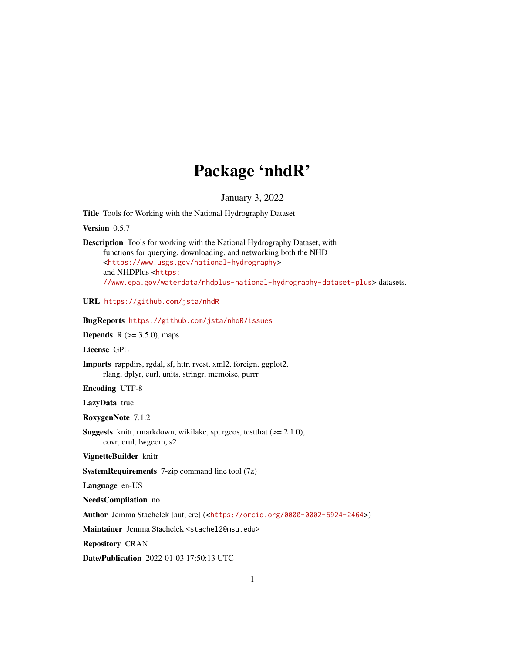# Package 'nhdR'

January 3, 2022

Title Tools for Working with the National Hydrography Dataset

Version 0.5.7

Description Tools for working with the National Hydrography Dataset, with functions for querying, downloading, and networking both the NHD <<https://www.usgs.gov/national-hydrography>> and NHDPlus <[https:](https://www.epa.gov/waterdata/nhdplus-national-hydrography-dataset-plus) [//www.epa.gov/waterdata/nhdplus-national-hydrography-dataset-plus](https://www.epa.gov/waterdata/nhdplus-national-hydrography-dataset-plus)> datasets.

URL <https://github.com/jsta/nhdR>

BugReports <https://github.com/jsta/nhdR/issues>

**Depends** R  $(>= 3.5.0)$ , maps

License GPL

Imports rappdirs, rgdal, sf, httr, rvest, xml2, foreign, ggplot2, rlang, dplyr, curl, units, stringr, memoise, purrr

Encoding UTF-8

LazyData true

RoxygenNote 7.1.2

Suggests knitr, rmarkdown, wikilake, sp, rgeos, testthat (>= 2.1.0), covr, crul, lwgeom, s2

VignetteBuilder knitr

SystemRequirements 7-zip command line tool (7z)

Language en-US

NeedsCompilation no

Author Jemma Stachelek [aut, cre] (<<https://orcid.org/0000-0002-5924-2464>>)

Maintainer Jemma Stachelek <stachel2@msu.edu>

Repository CRAN

Date/Publication 2022-01-03 17:50:13 UTC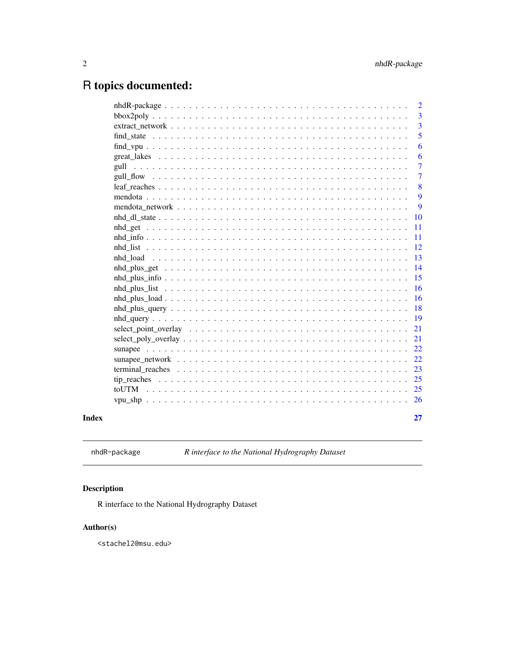# <span id="page-1-0"></span>R topics documented:

|                                                                                                        | $\overline{2}$ |
|--------------------------------------------------------------------------------------------------------|----------------|
|                                                                                                        | 3              |
|                                                                                                        | $\overline{3}$ |
|                                                                                                        | 5              |
|                                                                                                        | 6              |
|                                                                                                        | 6              |
|                                                                                                        | 7              |
|                                                                                                        | $\overline{7}$ |
|                                                                                                        | 8              |
|                                                                                                        | 9              |
|                                                                                                        | 9              |
|                                                                                                        | 10             |
|                                                                                                        | 11             |
|                                                                                                        | 11             |
|                                                                                                        | 12             |
|                                                                                                        | 13             |
|                                                                                                        | 14             |
|                                                                                                        | 15             |
|                                                                                                        | 16             |
|                                                                                                        | 16             |
| $nhd\_plus\_query \ldots \ldots \ldots \ldots \ldots \ldots \ldots \ldots \ldots \ldots \ldots \ldots$ | 18             |
|                                                                                                        | 19             |
|                                                                                                        | 21             |
|                                                                                                        | 21             |
|                                                                                                        | 22             |
|                                                                                                        | 22             |
|                                                                                                        | 23             |
|                                                                                                        | 25             |
|                                                                                                        | 25             |
|                                                                                                        | 26             |
|                                                                                                        |                |
|                                                                                                        | 27             |
|                                                                                                        |                |

# **Index**

nhdR-package

R interface to the National Hydrography Dataset

# Description

R interface to the National Hydrography Dataset

# Author(s)

<stachel2@msu.edu>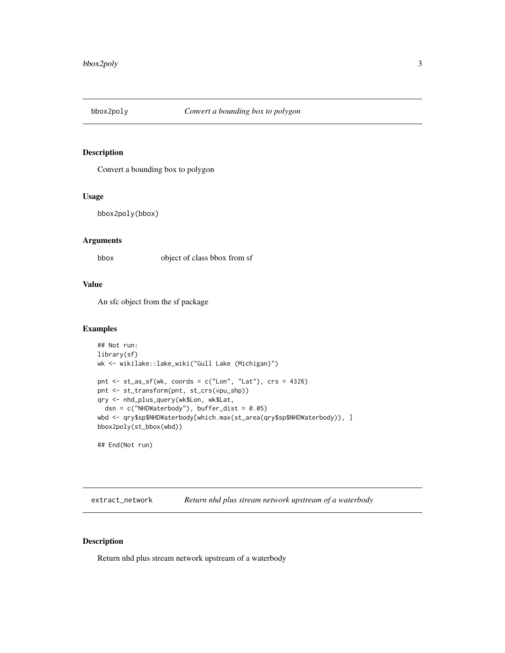<span id="page-2-0"></span>

Convert a bounding box to polygon

#### Usage

```
bbox2poly(bbox)
```
#### Arguments

bbox object of class bbox from sf

#### Value

An sfc object from the sf package

#### Examples

```
## Not run:
library(sf)
wk <- wikilake::lake_wiki("Gull Lake (Michigan)")
pnt <- st_as_sf(wk, coords = c("Lon", "Lat"), crs = 4326)
pnt <- st_transform(pnt, st_crs(vpu_shp))
qry <- nhd_plus_query(wk$Lon, wk$Lat,
  dsn = c("NHDWaterbody"), buffer_dist = 0.05)
wbd <- qry$sp$NHDWaterbody[which.max(st_area(qry$sp$NHDWaterbody)), ]
bbox2poly(st_bbox(wbd))
```
## End(Not run)

extract\_network *Return nhd plus stream network upstream of a waterbody*

#### Description

Return nhd plus stream network upstream of a waterbody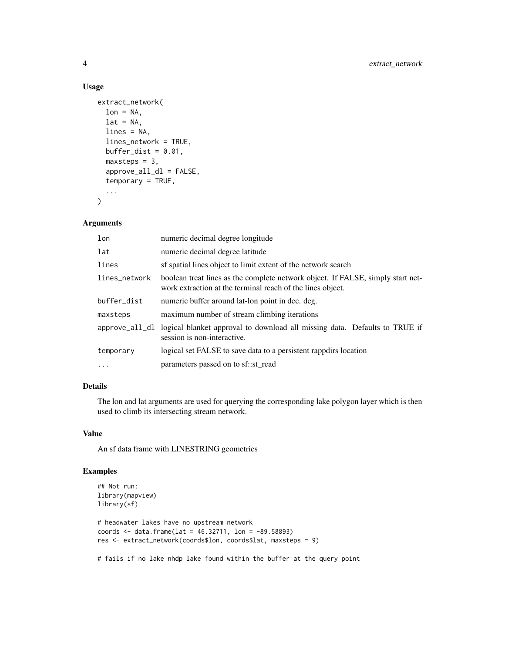#### Usage

```
extract_network(
  lon = NA,lat = NA,
  lines = NA,
  lines_network = TRUE,
 buffer_dist = 0.01,
 maxsteps = 3,
  approve_all_dl = FALSE,
  temporary = TRUE,
  ...
)
```
# Arguments

| lon            | numeric decimal degree longitude                                                                                                              |
|----------------|-----------------------------------------------------------------------------------------------------------------------------------------------|
| lat            | numeric decimal degree latitude                                                                                                               |
| lines          | sf spatial lines object to limit extent of the network search                                                                                 |
| lines_network  | boolean treat lines as the complete network object. If FALSE, simply start net-<br>work extraction at the terminal reach of the lines object. |
| buffer_dist    | numeric buffer around lat-lon point in dec. deg.                                                                                              |
| maxsteps       | maximum number of stream climbing iterations                                                                                                  |
| approve_all_dl | logical blanket approval to download all missing data. Defaults to TRUE if<br>session is non-interactive.                                     |
| temporary      | logical set FALSE to save data to a persistent rappdirs location                                                                              |
|                | parameters passed on to sf::st_read                                                                                                           |

# Details

The lon and lat arguments are used for querying the corresponding lake polygon layer which is then used to climb its intersecting stream network.

#### Value

An sf data frame with LINESTRING geometries

#### Examples

```
## Not run:
library(mapview)
library(sf)
# headwater lakes have no upstream network
coords <- data.frame(lat = 46.32711, lon = -89.58893)
res <- extract_network(coords$lon, coords$lat, maxsteps = 9)
```
# fails if no lake nhdp lake found within the buffer at the query point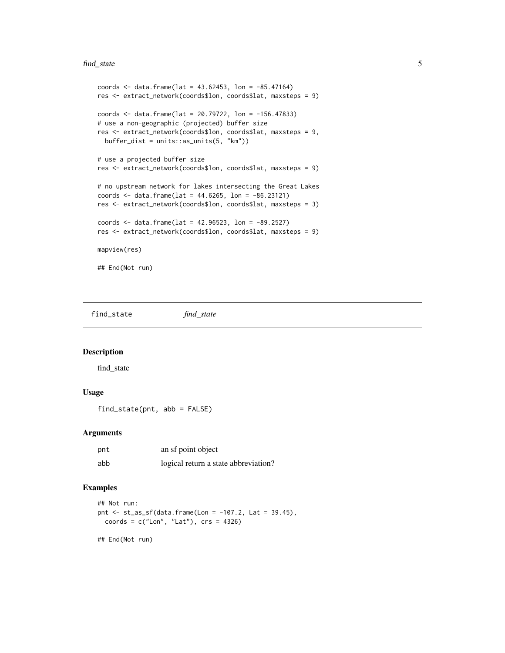#### <span id="page-4-0"></span>find\_state 5

```
coords \le data.frame(lat = 43.62453, lon = -85.47164)
res <- extract_network(coords$lon, coords$lat, maxsteps = 9)
coords <- data.frame(lat = 20.79722, lon = -156.47833)
# use a non-geographic (projected) buffer size
res <- extract_network(coords$lon, coords$lat, maxsteps = 9,
 buffer\_dist = units::as\_units(5, "km")# use a projected buffer size
res <- extract_network(coords$lon, coords$lat, maxsteps = 9)
# no upstream network for lakes intersecting the Great Lakes
coords \le data.frame(lat = 44.6265, lon = -86.23121)
res <- extract_network(coords$lon, coords$lat, maxsteps = 3)
coords <- data.frame(lat = 42.96523, lon = -89.2527)
res <- extract_network(coords$lon, coords$lat, maxsteps = 9)
mapview(res)
## End(Not run)
```
find\_state *find\_state*

#### Description

find\_state

#### Usage

```
find_state(pnt, abb = FALSE)
```
#### Arguments

| pnt | an sf point object                   |
|-----|--------------------------------------|
| abb | logical return a state abbreviation? |

#### Examples

```
## Not run:
pnt <- st_as_sf(data.frame(Lon = -107.2, Lat = 39.45),
  coords = c("Lon", "Lat"), crs = 4326)
```
## End(Not run)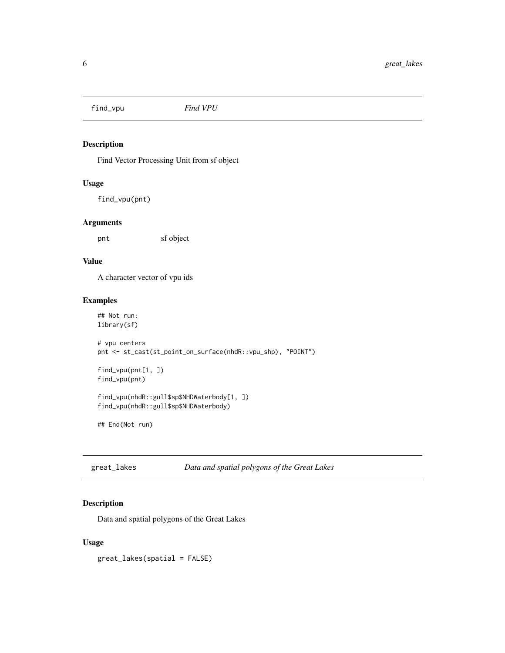<span id="page-5-0"></span>find\_vpu *Find VPU*

#### Description

Find Vector Processing Unit from sf object

#### Usage

find\_vpu(pnt)

#### Arguments

pnt sf object

#### Value

A character vector of vpu ids

#### Examples

```
## Not run:
library(sf)
# vpu centers
pnt <- st_cast(st_point_on_surface(nhdR::vpu_shp), "POINT")
find_vpu(pnt[1, ])
find_vpu(pnt)
find_vpu(nhdR::gull$sp$NHDWaterbody[1, ])
find_vpu(nhdR::gull$sp$NHDWaterbody)
## End(Not run)
```

| great_lakes | Data and spatial polygons of the Great Lakes |  |
|-------------|----------------------------------------------|--|
|-------------|----------------------------------------------|--|

#### Description

Data and spatial polygons of the Great Lakes

#### Usage

great\_lakes(spatial = FALSE)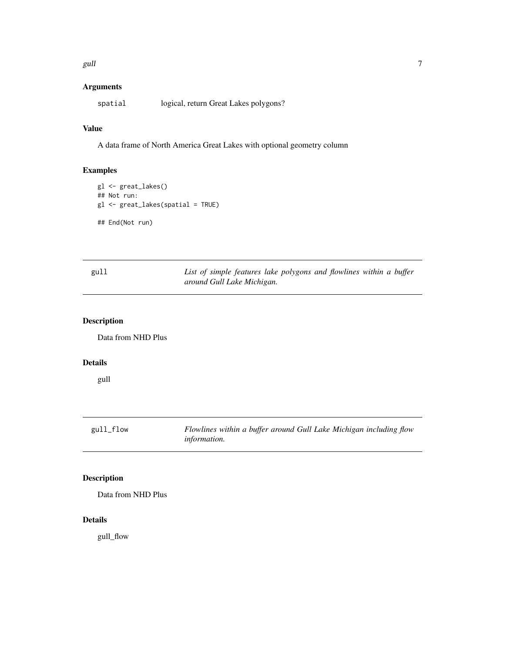<span id="page-6-0"></span>gull and the contract of the contract of the contract of the contract of the contract of the contract of the contract of the contract of the contract of the contract of the contract of the contract of the contract of the c

#### Arguments

spatial logical, return Great Lakes polygons?

# Value

A data frame of North America Great Lakes with optional geometry column

#### Examples

```
gl <- great_lakes()
## Not run:
gl <- great_lakes(spatial = TRUE)
## End(Not run)
```

| gull | List of simple features lake polygons and flowlines within a buffer |  |  |  |  |
|------|---------------------------------------------------------------------|--|--|--|--|
|      | around Gull Lake Michigan.                                          |  |  |  |  |

#### Description

Data from NHD Plus

# Details

gull

gull\_flow *Flowlines within a buffer around Gull Lake Michigan including flow information.*

# Description

Data from NHD Plus

#### Details

gull\_flow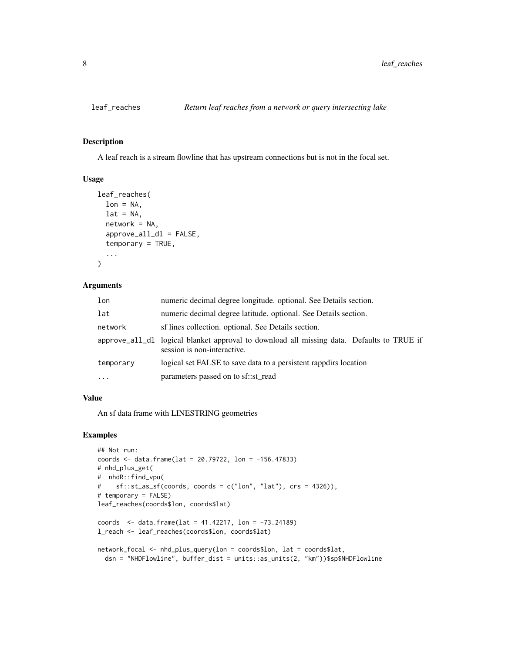A leaf reach is a stream flowline that has upstream connections but is not in the focal set.

#### Usage

```
leaf_reaches(
  lon = NA,lat = NA,
  network = NA,
  approve_all_dl = FALSE,
  temporary = TRUE,
  ...
\mathcal{L}
```
# Arguments

| lon        | numeric decimal degree longitude. optional. See Details section.                                                         |
|------------|--------------------------------------------------------------------------------------------------------------------------|
| lat        | numeric decimal degree latitude, optional. See Details section.                                                          |
| network    | sf lines collection. optional. See Details section.                                                                      |
|            | approve_all_dl logical blanket approval to download all missing data. Defaults to TRUE if<br>session is non-interactive. |
| temporary  | logical set FALSE to save data to a persistent rappolirs location                                                        |
| $\ddots$ . | parameters passed on to sf::st_read                                                                                      |

#### Value

An sf data frame with LINESTRING geometries

#### Examples

```
## Not run:
coords <- data.frame(lat = 20.79722, lon = -156.47833)
# nhd_plus_get(
# nhdR::find_vpu(
# sf::st_as_sf(coords, coords = c("lon", "lat"), crs = 4326)),
# temporary = FALSE)
leaf_reaches(coords$lon, coords$lat)
coords <- data.frame(lat = 41.42217, lon = -73.24189)
l_reach <- leaf_reaches(coords$lon, coords$lat)
network_focal <- nhd_plus_query(lon = coords$lon, lat = coords$lat,
  dsn = "NHDFlowline", buffer_dist = units::as_units(2, "km"))$sp$NHDFlowline
```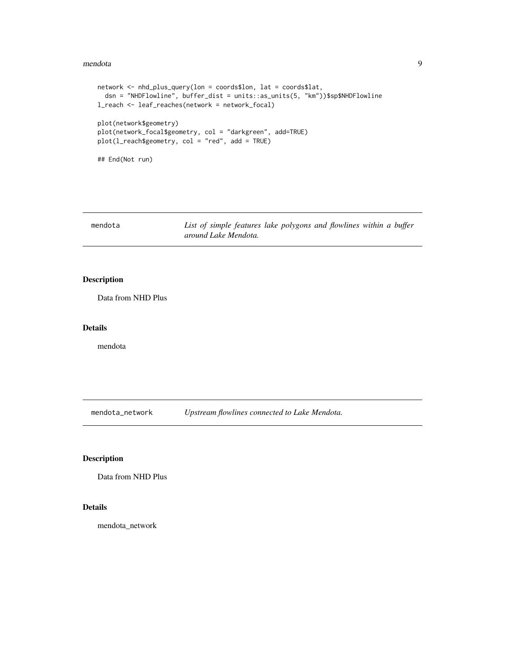#### <span id="page-8-0"></span>mendota 9

```
network <- nhd_plus_query(lon = coords$lon, lat = coords$lat,
 dsn = "NHDFlowline", buffer_dist = units::as_units(5, "km"))$sp$NHDFlowline
l_reach <- leaf_reaches(network = network_focal)
plot(network$geometry)
plot(network_focal$geometry, col = "darkgreen", add=TRUE)
plot(l_reach$geometry, col = "red", add = TRUE)
## End(Not run)
```

| mendota | List of simple features lake polygons and flowlines within a buffer |  |  |
|---------|---------------------------------------------------------------------|--|--|
|         | around Lake Mendota.                                                |  |  |

#### Description

Data from NHD Plus

#### Details

mendota

mendota\_network *Upstream flowlines connected to Lake Mendota.*

#### Description

Data from NHD Plus

#### Details

mendota\_network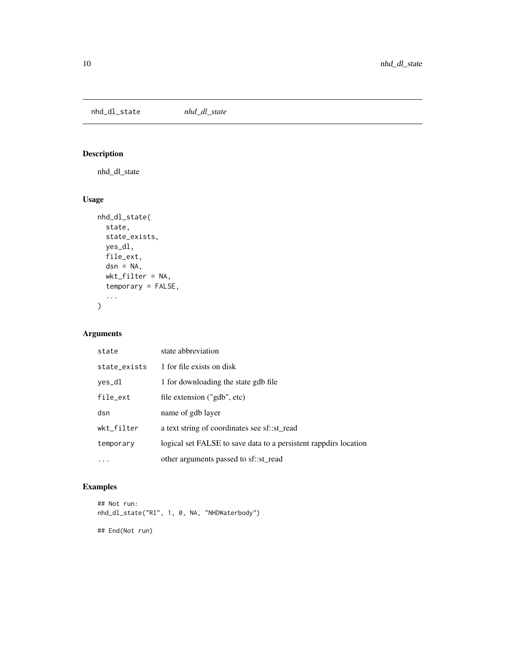<span id="page-9-0"></span>nhd\_dl\_state *nhd\_dl\_state*

# Description

nhd\_dl\_state

# Usage

```
nhd_dl_state(
  state,
  state_exists,
  yes_dl,
  file_ext,
  dsn = NA,
  wkt_filter = NA,
  temporary = FALSE,
  ...
\mathcal{L}
```
# Arguments

| state        | state abbreviation                                               |
|--------------|------------------------------------------------------------------|
| state_exists | 1 for file exists on disk                                        |
| yes_dl       | 1 for downloading the state gdb file                             |
| file_ext     | file extension ("gdb", etc)                                      |
| dsn          | name of gdb layer                                                |
| wkt_filter   | a text string of coordinates see sf::st_read                     |
| temporary    | logical set FALSE to save data to a persistent rappdirs location |
|              | other arguments passed to sf::st_read                            |

# Examples

```
## Not run:
nhd_dl_state("RI", 1, 0, NA, "NHDWaterbody")
```
## End(Not run)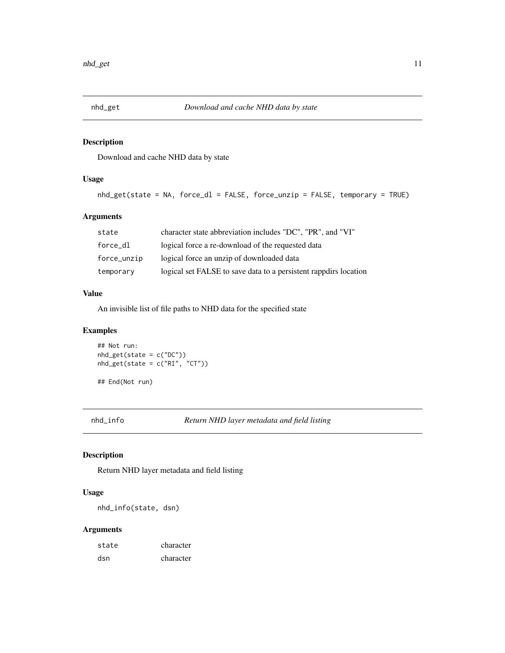<span id="page-10-0"></span>

Download and cache NHD data by state

#### Usage

```
nhd_get(state = NA, force_dl = FALSE, force_unzip = FALSE, temporary = TRUE)
```
#### Arguments

| state       | character state abbreviation includes "DC", "PR", and "VI"       |
|-------------|------------------------------------------------------------------|
| force dl    | logical force a re-download of the requested data                |
| force_unzip | logical force an unzip of downloaded data                        |
| temporary   | logical set FALSE to save data to a persistent rappdirs location |

#### Value

An invisible list of file paths to NHD data for the specified state

#### Examples

## Not run:  $nhd\_get(state = c("DC")$ nhd\_get(state = c("RI", "CT"))

## End(Not run)

nhd\_info *Return NHD layer metadata and field listing*

#### Description

Return NHD layer metadata and field listing

#### Usage

nhd\_info(state, dsn)

#### Arguments

| state | character |
|-------|-----------|
| dsn   | character |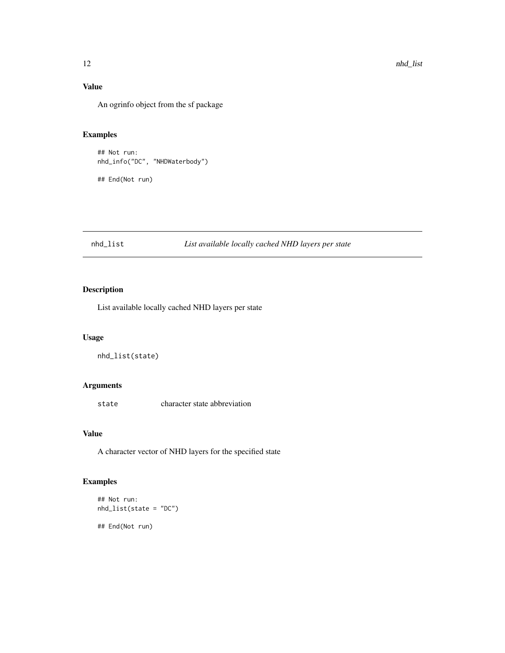# Value

An ogrinfo object from the sf package

#### Examples

## Not run: nhd\_info("DC", "NHDWaterbody")

## End(Not run)

#### nhd\_list *List available locally cached NHD layers per state*

#### Description

List available locally cached NHD layers per state

#### Usage

```
nhd_list(state)
```
#### Arguments

state character state abbreviation

#### Value

A character vector of NHD layers for the specified state

## Examples

```
## Not run:
nhd_list(state = "DC")
```
## End(Not run)

<span id="page-11-0"></span>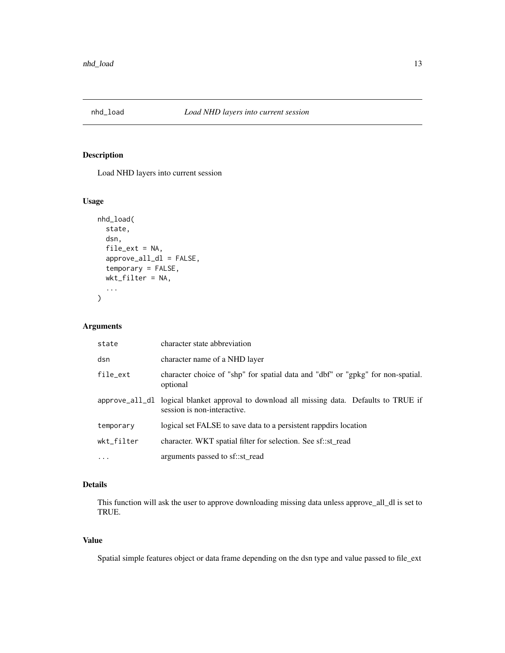<span id="page-12-0"></span>

Load NHD layers into current session

#### Usage

```
nhd_load(
  state,
  dsn,
  file_ext = NA,
  approve_all_dl = FALSE,
  temporary = FALSE,
 wkt_filter = NA,
  ...
)
```
#### Arguments

| state      | character state abbreviation                                                                                             |
|------------|--------------------------------------------------------------------------------------------------------------------------|
| dsn        | character name of a NHD layer                                                                                            |
| file_ext   | character choice of "shp" for spatial data and "dbf" or "gpkg" for non-spatial.<br>optional                              |
|            | approve_all_dl logical blanket approval to download all missing data. Defaults to TRUE if<br>session is non-interactive. |
| temporary  | logical set FALSE to save data to a persistent rappdirs location                                                         |
| wkt_filter | character. WKT spatial filter for selection. See sf::st_read                                                             |
| $\cdots$   | arguments passed to sf::st_read                                                                                          |

#### Details

This function will ask the user to approve downloading missing data unless approve\_all\_dl is set to TRUE.

#### Value

Spatial simple features object or data frame depending on the dsn type and value passed to file\_ext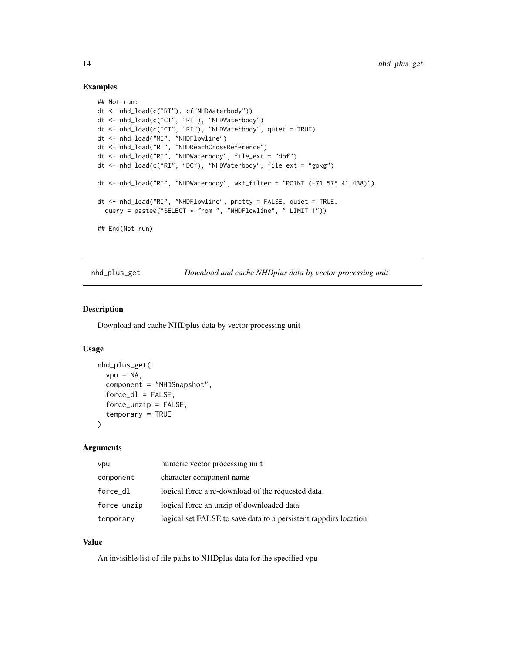#### Examples

```
## Not run:
dt <- nhd_load(c("RI"), c("NHDWaterbody"))
dt <- nhd_load(c("CT", "RI"), "NHDWaterbody")
dt <- nhd_load(c("CT", "RI"), "NHDWaterbody", quiet = TRUE)
dt <- nhd_load("MI", "NHDFlowline")
dt <- nhd_load("RI", "NHDReachCrossReference")
dt <- nhd_load("RI", "NHDWaterbody", file_ext = "dbf")
dt <- nhd_load(c("RI", "DC"), "NHDWaterbody", file_ext = "gpkg")
dt <- nhd_load("RI", "NHDWaterbody", wkt_filter = "POINT (-71.575 41.438)")
dt <- nhd_load("RI", "NHDFlowline", pretty = FALSE, quiet = TRUE,
  query = paste0("SELECT * from ", "NHDFlowline", " LIMIT 1"))
## End(Not run)
```
nhd\_plus\_get *Download and cache NHDplus data by vector processing unit*

#### Description

Download and cache NHDplus data by vector processing unit

#### Usage

```
nhd_plus_get(
  vpu = NA,
  component = "NHDSnapshot",
  force_d1 = FALSE,force\_unzip = FALSE,temporary = TRUE
)
```
#### Arguments

| vpu         | numeric vector processing unit                                   |
|-------------|------------------------------------------------------------------|
| component   | character component name                                         |
| force_dl    | logical force a re-download of the requested data                |
| force_unzip | logical force an unzip of downloaded data                        |
| temporary   | logical set FALSE to save data to a persistent rappdirs location |

#### Value

An invisible list of file paths to NHDplus data for the specified vpu

<span id="page-13-0"></span>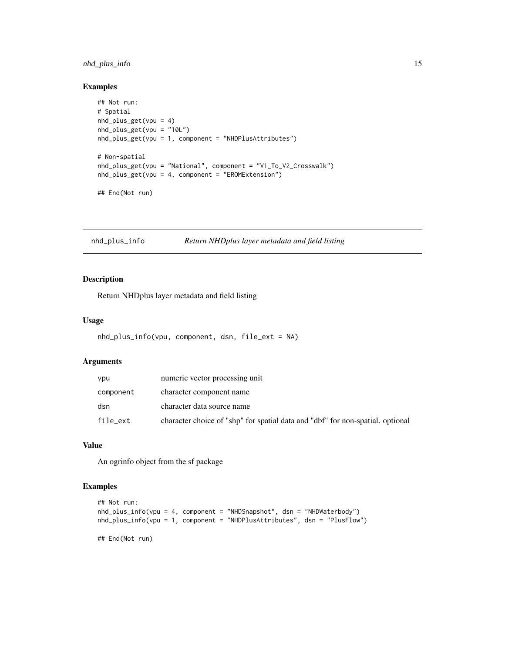#### <span id="page-14-0"></span>nhd\_plus\_info 15

#### Examples

```
## Not run:
# Spatial
nhd_plus_get(vpu = 4)
nhd_plus_get(vpu = "10L")
nhd_plus_get(vpu = 1, component = "NHDPlusAttributes")
# Non-spatial
nhd_plus_get(vpu = "National", component = "V1_To_V2_Crosswalk")
nhd_plus_get(vpu = 4, component = "EROMExtension")
## End(Not run)
```
nhd\_plus\_info *Return NHDplus layer metadata and field listing*

#### Description

Return NHDplus layer metadata and field listing

#### Usage

```
nhd_plus_info(vpu, component, dsn, file_ext = NA)
```
#### Arguments

| vpu       | numeric vector processing unit                                                 |
|-----------|--------------------------------------------------------------------------------|
| component | character component name                                                       |
| dsn       | character data source name                                                     |
| file_ext  | character choice of "shp" for spatial data and "dbf" for non-spatial, optional |

# Value

An ogrinfo object from the sf package

#### Examples

```
## Not run:
nhd_plus_info(vpu = 4, component = "NHDSnapshot", dsn = "NHDWaterbody")
nhd_plus_info(vpu = 1, component = "NHDPlusAttributes", dsn = "PlusFlow")
## End(Not run)
```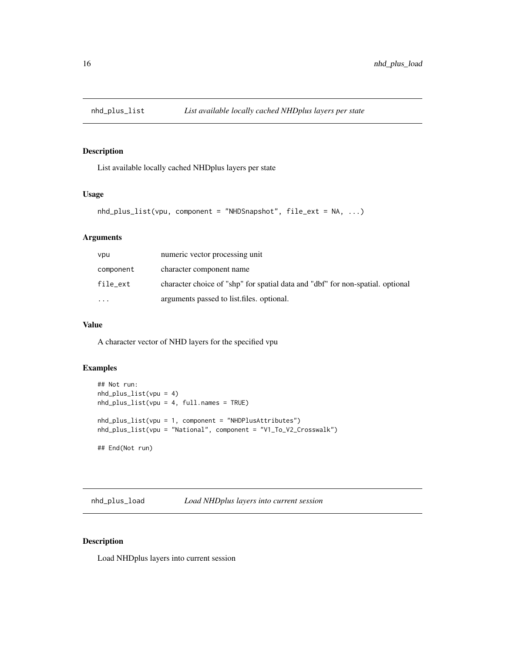<span id="page-15-0"></span>

List available locally cached NHDplus layers per state

#### Usage

```
nhd_plus_list(vpu, component = "NHDSnapshot", file_ext = NA, ...)
```
#### Arguments

| vpu       | numeric vector processing unit                                                 |
|-----------|--------------------------------------------------------------------------------|
| component | character component name                                                       |
| file_ext  | character choice of "shp" for spatial data and "dbf" for non-spatial, optional |
| $\cdots$  | arguments passed to list files, optional.                                      |

#### Value

A character vector of NHD layers for the specified vpu

### Examples

```
## Not run:
nhd_plus_list(vpu = 4)
nhd_plus_list(vpu = 4, full.names = TRUE)
nhd_plus_list(vpu = 1, component = "NHDPlusAttributes")
nhd_plus_list(vpu = "National", component = "V1_To_V2_Crosswalk")
## End(Not run)
```
nhd\_plus\_load *Load NHDplus layers into current session*

#### Description

Load NHDplus layers into current session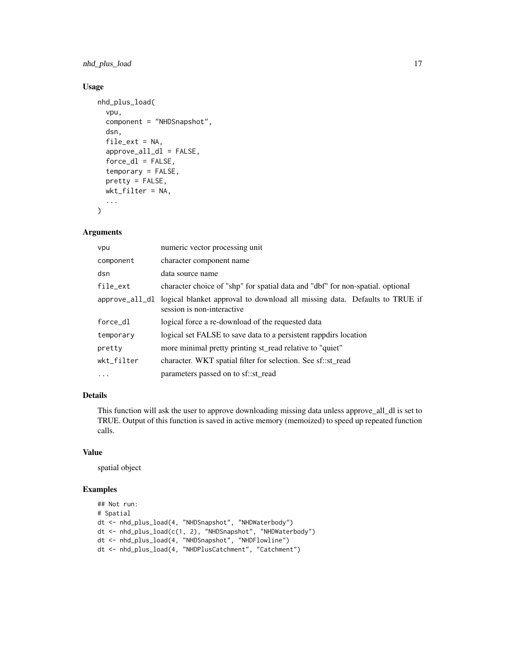#### nhd\_plus\_load 17

## Usage

```
nhd_plus_load(
  vpu,
  component = "NHDSnapshot",
  dsn,
  file_ext = NA,
  approve_all_dl = FALSE,
  force_d1 = FALSE,temporary = FALSE,
 pretty = FALSE,
 wkt_filter = NA,
  ...
\mathcal{L}
```
#### Arguments

| vpu        | numeric vector processing unit                                                                                          |  |
|------------|-------------------------------------------------------------------------------------------------------------------------|--|
| component  | character component name                                                                                                |  |
| dsn        | data source name                                                                                                        |  |
| file_ext   | character choice of "shp" for spatial data and "dbf" for non-spatial. optional                                          |  |
|            | approve_all_dl logical blanket approval to download all missing data. Defaults to TRUE if<br>session is non-interactive |  |
| force dl   | logical force a re-download of the requested data                                                                       |  |
| temporary  | logical set FALSE to save data to a persistent rappolirs location                                                       |  |
| pretty     | more minimal pretty printing st read relative to "quiet"                                                                |  |
| wkt_filter | character. WKT spatial filter for selection. See sf::st read                                                            |  |
| $\ddotsc$  | parameters passed on to sf::st read                                                                                     |  |

#### Details

This function will ask the user to approve downloading missing data unless approve\_all\_dl is set to TRUE. Output of this function is saved in active memory (memoized) to speed up repeated function calls.

#### Value

spatial object

#### Examples

```
## Not run:
# Spatial
dt <- nhd_plus_load(4, "NHDSnapshot", "NHDWaterbody")
dt <- nhd_plus_load(c(1, 2), "NHDSnapshot", "NHDWaterbody")
dt <- nhd_plus_load(4, "NHDSnapshot", "NHDFlowline")
dt <- nhd_plus_load(4, "NHDPlusCatchment", "Catchment")
```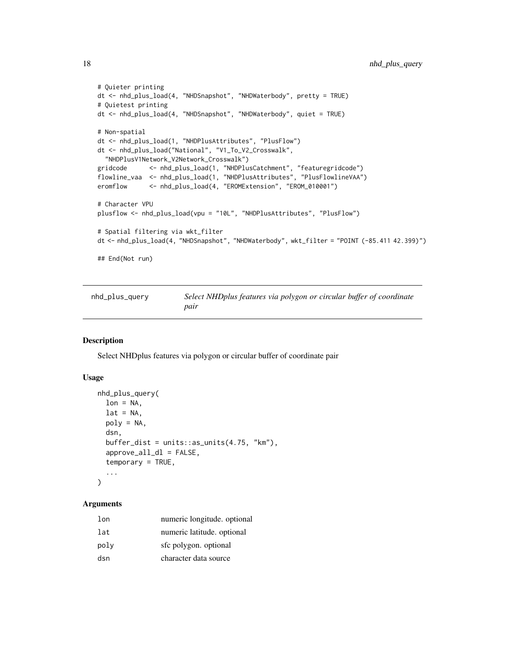```
# Quieter printing
dt <- nhd_plus_load(4, "NHDSnapshot", "NHDWaterbody", pretty = TRUE)
# Quietest printing
dt <- nhd_plus_load(4, "NHDSnapshot", "NHDWaterbody", quiet = TRUE)
# Non-spatial
dt <- nhd_plus_load(1, "NHDPlusAttributes", "PlusFlow")
dt <- nhd_plus_load("National", "V1_To_V2_Crosswalk",
  "NHDPlusV1Network_V2Network_Crosswalk")
gridcode <- nhd_plus_load(1, "NHDPlusCatchment", "featuregridcode")
flowline_vaa <- nhd_plus_load(1, "NHDPlusAttributes", "PlusFlowlineVAA")
eromflow <- nhd_plus_load(4, "EROMExtension", "EROM_010001")
# Character VPU
plusflow <- nhd_plus_load(vpu = "10L", "NHDPlusAttributes", "PlusFlow")
# Spatial filtering via wkt_filter
dt <- nhd_plus_load(4, "NHDSnapshot", "NHDWaterbody", wkt_filter = "POINT (-85.411 42.399)")
## End(Not run)
```

| nhd_plus_query | Select NHDplus features via polygon or circular buffer of coordinate |
|----------------|----------------------------------------------------------------------|
|                | pair                                                                 |

Select NHDplus features via polygon or circular buffer of coordinate pair

#### Usage

```
nhd_plus_query(
  lon = NA,lat = NA,
  poly = NA,
  dsn,
  buffer\_dist = units::as\_units(4.75, "km"),
  approve_all_dl = FALSE,
  temporary = TRUE,
  ...
\mathcal{L}
```
#### Arguments

| lon  | numeric longitude. optional |
|------|-----------------------------|
| lat  | numeric latitude. optional  |
| poly | sfc polygon. optional       |
| dsn  | character data source       |

<span id="page-17-0"></span>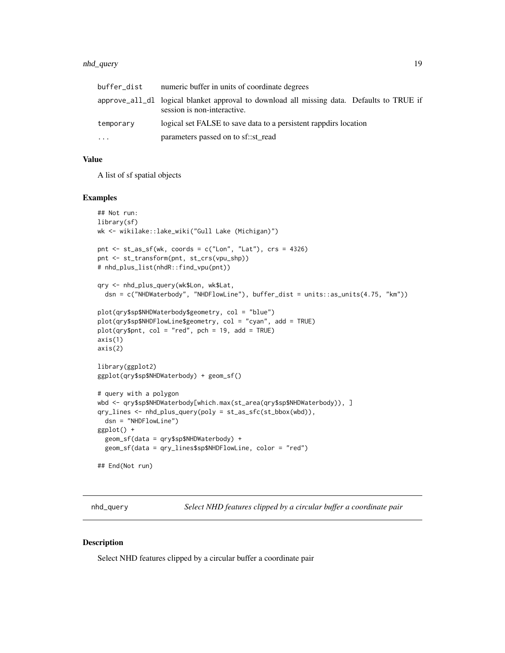#### <span id="page-18-0"></span>nhd\_query 19

| buffer_dist | numeric buffer in units of coordinate degrees                                                                            |
|-------------|--------------------------------------------------------------------------------------------------------------------------|
|             | approve_all_dl logical blanket approval to download all missing data. Defaults to TRUE if<br>session is non-interactive. |
| temporary   | logical set FALSE to save data to a persistent rappolirs location                                                        |
| .           | parameters passed on to sf::st_read                                                                                      |

# Value

A list of sf spatial objects

#### Examples

```
## Not run:
library(sf)
wk <- wikilake::lake_wiki("Gull Lake (Michigan)")
pnt <- st_as_sf(wk, coords = c("Lon", "Lat"), crs = 4326)
pnt <- st_transform(pnt, st_crs(vpu_shp))
# nhd_plus_list(nhdR::find_vpu(pnt))
qry <- nhd_plus_query(wk$Lon, wk$Lat,
  dsn = c("NHDWaterbody", "NHDFlowLine"), buffer_dist = units::as_units(4.75, "km"))
plot(qry$sp$NHDWaterbody$geometry, col = "blue")
plot(qry$sp$NHDFlowLine$geometry, col = "cyan", add = TRUE)
plot(qry$pnt, col = "red", pch = 19, add = TRUE)axis(1)
axis(2)
library(ggplot2)
ggplot(qry$sp$NHDWaterbody) + geom_sf()
# query with a polygon
wbd <- qry$sp$NHDWaterbody[which.max(st_area(qry$sp$NHDWaterbody)), ]
qry_lines <- nhd_plus_query(poly = st_as_sfc(st_bbox(wbd)),
  dsn = "NHDFlowLine")
ggplot() +
  geom_sf(data = qry$sp$NHDWaterbody) +
  geom_sf(data = qry_lines$sp$NHDFlowLine, color = "red")
## End(Not run)
```
nhd\_query *Select NHD features clipped by a circular buffer a coordinate pair*

#### Description

Select NHD features clipped by a circular buffer a coordinate pair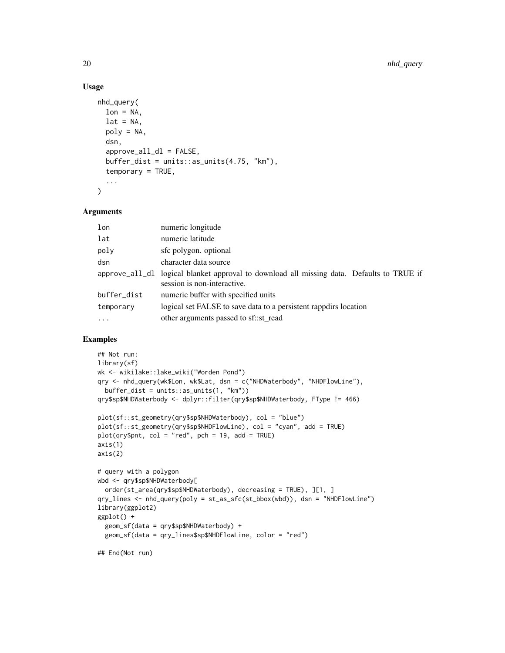#### Usage

```
nhd_query(
  lon = NA,lat = NA,
  poly = NA,
  dsn,
  approve_all_dl = FALSE,buffer\_dist = units::as\_units(4.75, "km"),
  temporary = TRUE,
  ...
)
```
#### Arguments

| numeric longitude                                                                                                        |  |
|--------------------------------------------------------------------------------------------------------------------------|--|
| numeric latitude                                                                                                         |  |
| sfc polygon. optional                                                                                                    |  |
| character data source                                                                                                    |  |
| approve_all_dl logical blanket approval to download all missing data. Defaults to TRUE if<br>session is non-interactive. |  |
| numeric buffer with specified units                                                                                      |  |
| logical set FALSE to save data to a persistent rappdire location                                                         |  |
| other arguments passed to sf::st_read                                                                                    |  |
|                                                                                                                          |  |

#### Examples

```
## Not run:
library(sf)
wk <- wikilake::lake_wiki("Worden Pond")
qry <- nhd_query(wk$Lon, wk$Lat, dsn = c("NHDWaterbody", "NHDFlowLine"),
 buffer_dist = units::as_units(1, "km"))
qry$sp$NHDWaterbody <- dplyr::filter(qry$sp$NHDWaterbody, FType != 466)
plot(sf::st_geometry(qry$sp$NHDWaterbody), col = "blue")
plot(sf::st_geometry(qry$sp$NHDFlowLine), col = "cyan", add = TRUE)
plot(qry$pnt, col = "red", pch = 19, add = TRUE)axis(1)
axis(2)
# query with a polygon
wbd <- qry$sp$NHDWaterbody[
  order(st_area(qry$sp$NHDWaterbody), decreasing = TRUE), ][1, ]
qry_lines <- nhd_query(poly = st_as_sfc(st_bbox(wbd)), dsn = "NHDFlowLine")
library(ggplot2)
ggplot() +
  geom_sf(data = qry$sp$NHDWaterbody) +
  geom_sf(data = qry_lines$sp$NHDFlowLine, color = "red")
```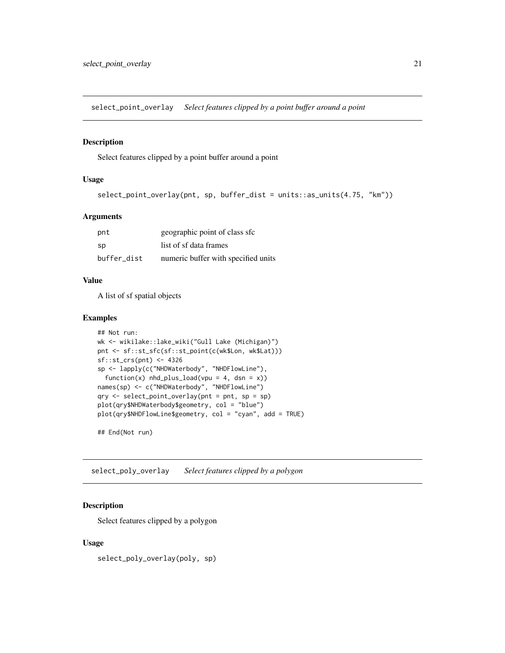<span id="page-20-0"></span>select\_point\_overlay *Select features clipped by a point buffer around a point*

#### Description

Select features clipped by a point buffer around a point

#### Usage

```
select_point_overlay(pnt, sp, buffer_dist = units::as_units(4.75, "km"))
```
#### Arguments

| pnt         | geographic point of class sfc       |
|-------------|-------------------------------------|
| sp          | list of sf data frames              |
| buffer dist | numeric buffer with specified units |

#### Value

A list of sf spatial objects

#### Examples

```
## Not run:
wk <- wikilake::lake_wiki("Gull Lake (Michigan)")
pnt <- sf::st_sfc(sf::st_point(c(wk$Lon, wk$Lat)))
sf::st_crs(pnt) <- 4326
sp <- lapply(c("NHDWaterbody", "NHDFlowLine"),
  function(x) nhd_plus\_load(vpu = 4, dsn = x))names(sp) <- c("NHDWaterbody", "NHDFlowLine")
qry \leq select\_point\_overlap(int = pnt, sp = sp)plot(qry$NHDWaterbody$geometry, col = "blue")
plot(qry$NHDFlowLine$geometry, col = "cyan", add = TRUE)
```
## End(Not run)

select\_poly\_overlay *Select features clipped by a polygon*

# Description

Select features clipped by a polygon

#### Usage

select\_poly\_overlay(poly, sp)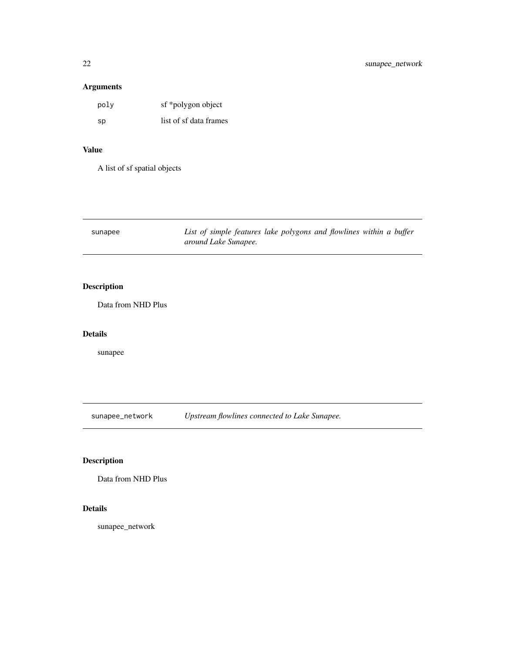# <span id="page-21-0"></span>Arguments

| poly | sf *polygon object     |
|------|------------------------|
| sp   | list of sf data frames |

#### Value

A list of sf spatial objects

| sunapee | List of simple features lake polygons and flowlines within a buffer |  |  |
|---------|---------------------------------------------------------------------|--|--|
|         | around Lake Sunapee.                                                |  |  |

# Description

Data from NHD Plus

#### Details

sunapee

sunapee\_network *Upstream flowlines connected to Lake Sunapee.*

# Description

Data from NHD Plus

# Details

sunapee\_network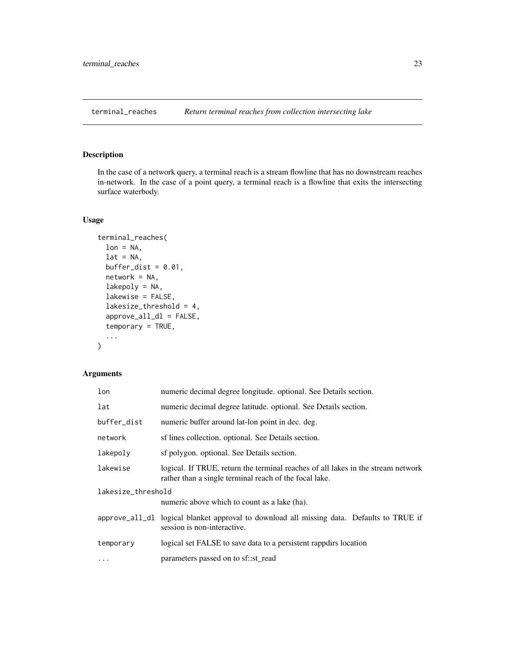<span id="page-22-1"></span><span id="page-22-0"></span>terminal\_reaches *Return terminal reaches from collection intersecting lake*

# Description

In the case of a network query, a terminal reach is a stream flowline that has no downstream reaches in-network. In the case of a point query, a terminal reach is a flowline that exits the intersecting surface waterbody.

#### Usage

```
terminal_reaches(
  lon = NA,lat = NA,
 buffer_dist = 0.01,
  network = NA,
  lakepoly = NA,
  lakewise = FALSE,
  lakesize_threshold = 4,
  approve_all_dl = FALSE,
  temporary = TRUE,
  ...
)
```
#### Arguments

| lon                                                                | numeric decimal degree longitude. optional. See Details section.                                                                           |  |
|--------------------------------------------------------------------|--------------------------------------------------------------------------------------------------------------------------------------------|--|
| lat                                                                | numeric decimal degree latitude, optional. See Details section.                                                                            |  |
| buffer_dist                                                        | numeric buffer around lat-lon point in dec. deg.                                                                                           |  |
| network                                                            | sf lines collection. optional. See Details section.                                                                                        |  |
| lakepoly                                                           | sf polygon. optional. See Details section.                                                                                                 |  |
| lakewise                                                           | logical. If TRUE, return the terminal reaches of all lakes in the stream network<br>rather than a single terminal reach of the focal lake. |  |
| lakesize_threshold<br>numeric above which to count as a lake (ha). |                                                                                                                                            |  |
|                                                                    | approve_all_dl logical blanket approval to download all missing data. Defaults to TRUE if<br>session is non-interactive.                   |  |
| temporary                                                          | logical set FALSE to save data to a persistent rappdirs location                                                                           |  |
| $\ddotsc$                                                          | parameters passed on to sf::st_read                                                                                                        |  |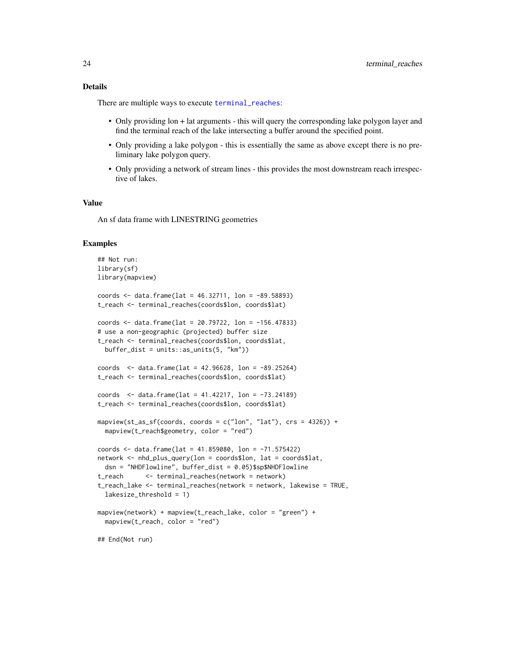#### <span id="page-23-0"></span>Details

There are multiple ways to execute [terminal\\_reaches](#page-22-1):

- Only providing lon + lat arguments this will query the corresponding lake polygon layer and find the terminal reach of the lake intersecting a buffer around the specified point.
- Only providing a lake polygon this is essentially the same as above except there is no preliminary lake polygon query.
- Only providing a network of stream lines this provides the most downstream reach irrespective of lakes.

#### Value

An sf data frame with LINESTRING geometries

#### Examples

```
## Not run:
library(sf)
library(mapview)
coords <- data.frame(lat = 46.32711, lon = -89.58893)
t_reach <- terminal_reaches(coords$lon, coords$lat)
coords <- data.frame(lat = 20.79722, lon = -156.47833)
# use a non-geographic (projected) buffer size
t_reach <- terminal_reaches(coords$lon, coords$lat,
 buffer_dist = units::as_units(5, "km"))
coords <- data.frame(lat = 42.96628, lon = -89.25264)
t_reach <- terminal_reaches(coords$lon, coords$lat)
coords <- data.frame(lat = 41.42217, lon = -73.24189)
t_reach <- terminal_reaches(coords$lon, coords$lat)
mapview(st_as_sf(coords, coords = c("lon", "lat"), crs = 4326)) +
  mapview(t_reach$geometry, color = "red")
coords <- data.frame(lat = 41.859080, lon = -71.575422)
network <- nhd_plus_query(lon = coords$lon, lat = coords$lat,
  dsn = "NHDFlowline", buffer_dist = 0.05)$sp$NHDFlowline
t_reach <- terminal_reaches(network = network)
t_reach_lake <- terminal_reaches(network = network, lakewise = TRUE,
  lakesize_threshold = 1)
mapview(network) + mapview(t_reach_lake, color = "green") +
  mapview(t_reach, color = "red")
## End(Not run)
```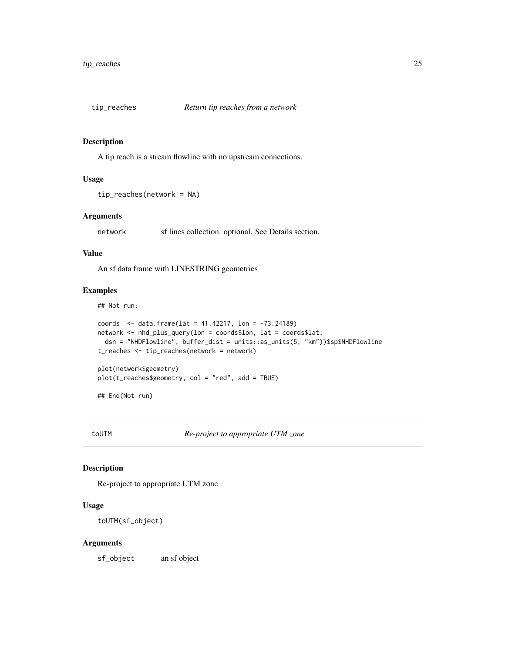<span id="page-24-0"></span>

A tip reach is a stream flowline with no upstream connections.

#### Usage

```
tip_reaches(network = NA)
```
#### Arguments

network sf lines collection. optional. See Details section.

#### Value

An sf data frame with LINESTRING geometries

#### Examples

## Not run:

```
coords \le data.frame(lat = 41.42217, lon = -73.24189)
network <- nhd_plus_query(lon = coords$lon, lat = coords$lat,
  dsn = "NHDFlowline", buffer_dist = units::as_units(5, "km"))$sp$NHDFlowline
t_reaches <- tip_reaches(network = network)
plot(network$geometry)
plot(t_reaches$geometry, col = "red", add = TRUE)
```
## End(Not run)

toUTM *Re-project to appropriate UTM zone*

#### Description

Re-project to appropriate UTM zone

#### Usage

toUTM(sf\_object)

#### Arguments

sf\_object an sf object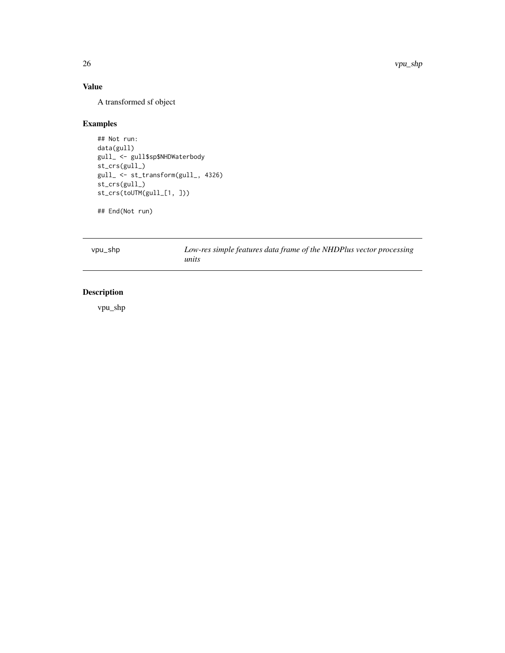# <span id="page-25-0"></span>Value

A transformed sf object

#### Examples

## Not run: data(gull) gull\_ <- gull\$sp\$NHDWaterbody st\_crs(gull\_) gull\_ <- st\_transform(gull\_, 4326) st\_crs(gull\_) st\_crs(toUTM(gull\_[1, ]))

## End(Not run)

vpu\_shp *Low-res simple features data frame of the NHDPlus vector processing units*

# Description

vpu\_shp